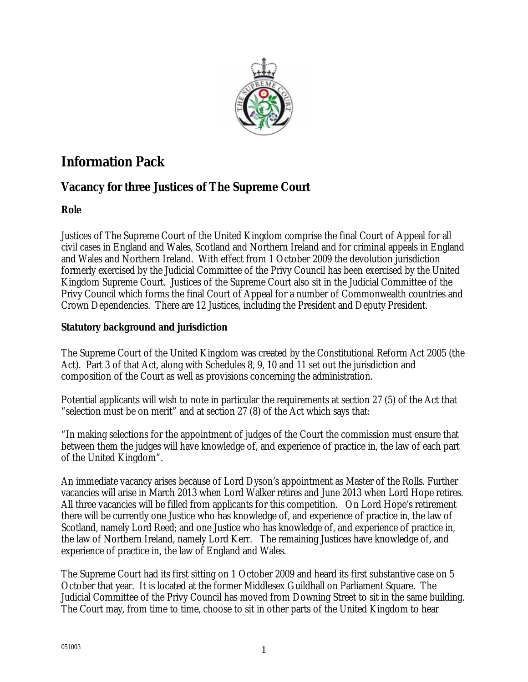

# **Information Pack**

# **Vacancy for three Justices of The Supreme Court**

# **Role**

Justices of The Supreme Court of the United Kingdom comprise the final Court of Appeal for all civil cases in England and Wales, Scotland and Northern Ireland and for criminal appeals in England and Wales and Northern Ireland. With effect from 1 October 2009 the devolution jurisdiction formerly exercised by the Judicial Committee of the Privy Council has been exercised by the United Kingdom Supreme Court. Justices of the Supreme Court also sit in the Judicial Committee of the Privy Council which forms the final Court of Appeal for a number of Commonwealth countries and Crown Dependencies. There are 12 Justices, including the President and Deputy President.

# **Statutory background and jurisdiction**

The Supreme Court of the United Kingdom was created by the Constitutional Reform Act 2005 (the Act). Part 3 of that Act, along with Schedules 8, 9, 10 and 11 set out the jurisdiction and composition of the Court as well as provisions concerning the administration.

Potential applicants will wish to note in particular the requirements at section 27 (5) of the Act that "selection must be on merit" and at section 27 (8) of the Act which says that:

"In making selections for the appointment of judges of the Court the commission must ensure that between them the judges will have knowledge of, and experience of practice in, the law of each part of the United Kingdom".

An immediate vacancy arises because of Lord Dyson's appointment as Master of the Rolls. Further vacancies will arise in March 2013 when Lord Walker retires and June 2013 when Lord Hope retires. All three vacancies will be filled from applicants for this competition. On Lord Hope's retirement there will be currently one Justice who has knowledge of, and experience of practice in, the law of Scotland, namely Lord Reed; and one Justice who has knowledge of, and experience of practice in, the law of Northern Ireland, namely Lord Kerr. The remaining Justices have knowledge of, and experience of practice in, the law of England and Wales.

The Supreme Court had its first sitting on 1 October 2009 and heard its first substantive case on 5 October that year. It is located at the former Middlesex Guildhall on Parliament Square. The Judicial Committee of the Privy Council has moved from Downing Street to sit in the same building. The Court may, from time to time, choose to sit in other parts of the United Kingdom to hear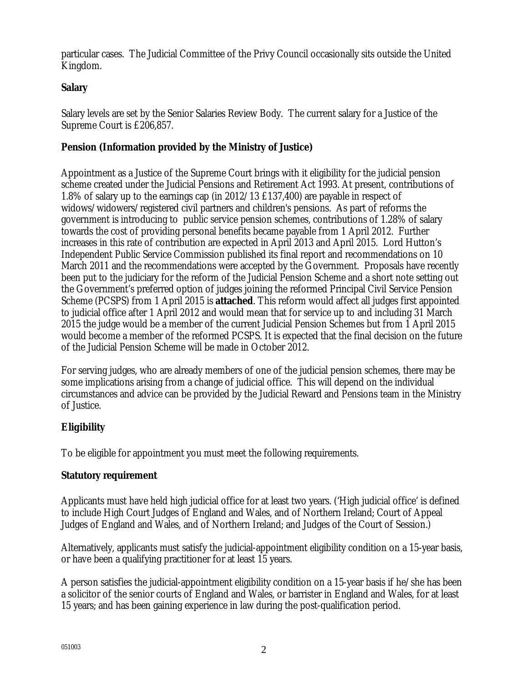particular cases. The Judicial Committee of the Privy Council occasionally sits outside the United Kingdom.

### **Salary**

Salary levels are set by the Senior Salaries Review Body. The current salary for a Justice of the Supreme Court is £206,857.

### **Pension (Information provided by the Ministry of Justice)**

Appointment as a Justice of the Supreme Court brings with it eligibility for the judicial pension scheme created under the Judicial Pensions and Retirement Act 1993. At present, contributions of 1.8% of salary up to the earnings cap (in 2012/13 £137,400) are payable in respect of widows/widowers/registered civil partners and children's pensions. As part of reforms the government is introducing to public service pension schemes, contributions of 1.28% of salary towards the cost of providing personal benefits became payable from 1 April 2012. Further increases in this rate of contribution are expected in April 2013 and April 2015. Lord Hutton's Independent Public Service Commission published its final report and recommendations on 10 March 2011 and the recommendations were accepted by the Government. Proposals have recently been put to the judiciary for the reform of the Judicial Pension Scheme and a short note setting out the Government's preferred option of judges joining the reformed Principal Civil Service Pension Scheme (PCSPS) from 1 April 2015 is **attached**. This reform would affect all judges first appointed to judicial office after 1 April 2012 and would mean that for service up to and including 31 March 2015 the judge would be a member of the current Judicial Pension Schemes but from 1 April 2015 would become a member of the reformed PCSPS. It is expected that the final decision on the future of the Judicial Pension Scheme will be made in October 2012.

For serving judges, who are already members of one of the judicial pension schemes, there may be some implications arising from a change of judicial office. This will depend on the individual circumstances and advice can be provided by the Judicial Reward and Pensions team in the Ministry of Justice.

### **Eligibility**

To be eligible for appointment you must meet the following requirements.

### **Statutory requirement**

Applicants must have held high judicial office for at least two years. ('High judicial office' is defined to include High Court Judges of England and Wales, and of Northern Ireland; Court of Appeal Judges of England and Wales, and of Northern Ireland; and Judges of the Court of Session.)

Alternatively, applicants must satisfy the judicial-appointment eligibility condition on a 15-year basis, or have been a qualifying practitioner for at least 15 years.

A person satisfies the judicial-appointment eligibility condition on a 15-year basis if he/she has been a solicitor of the senior courts of England and Wales, or barrister in England and Wales, for at least 15 years; and has been gaining experience in law during the post-qualification period.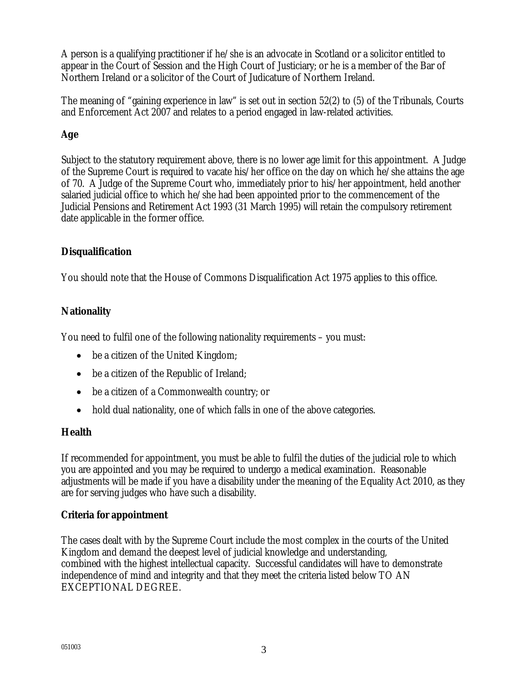A person is a qualifying practitioner if he/she is an advocate in Scotland or a solicitor entitled to appear in the Court of Session and the High Court of Justiciary; or he is a member of the Bar of Northern Ireland or a solicitor of the Court of Judicature of Northern Ireland.

The meaning of "gaining experience in law" is set out in section 52(2) to (5) of the Tribunals, Courts and Enforcement Act 2007 and relates to a period engaged in law-related activities.

# **Age**

Subject to the statutory requirement above, there is no lower age limit for this appointment. A Judge of the Supreme Court is required to vacate his/her office on the day on which he/she attains the age of 70. A Judge of the Supreme Court who, immediately prior to his/her appointment, held another salaried judicial office to which he/she had been appointed prior to the commencement of the Judicial Pensions and Retirement Act 1993 (31 March 1995) will retain the compulsory retirement date applicable in the former office.

### **Disqualification**

You should note that the House of Commons Disqualification Act 1975 applies to this office.

# **Nationality**

You need to fulfil one of the following nationality requirements – you must:

- be a citizen of the United Kingdom;
- be a citizen of the Republic of Ireland;
- be a citizen of a Commonwealth country; or
- hold dual nationality, one of which falls in one of the above categories.

# **Health**

If recommended for appointment, you must be able to fulfil the duties of the judicial role to which you are appointed and you may be required to undergo a medical examination. Reasonable adjustments will be made if you have a disability under the meaning of the Equality Act 2010, as they are for serving judges who have such a disability.

### **Criteria for appointment**

The cases dealt with by the Supreme Court include the most complex in the courts of the United Kingdom and demand the deepest level of judicial knowledge and understanding, combined with the highest intellectual capacity. Successful candidates will have to demonstrate independence of mind and integrity and that they meet the criteria listed below TO AN EXCEPTIONAL DEGREE.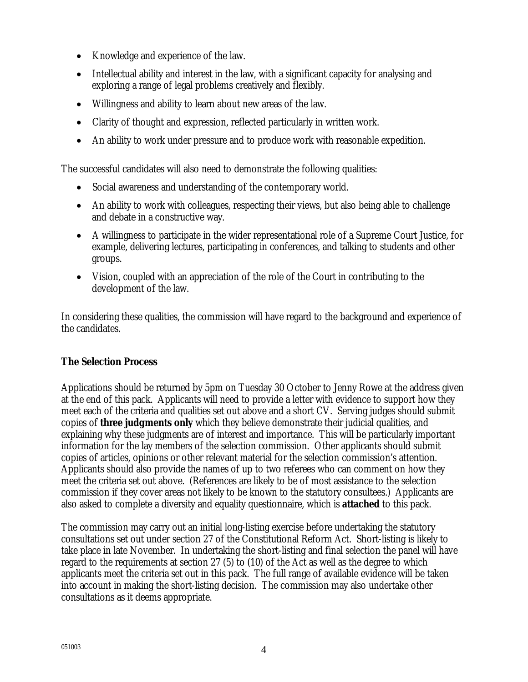- Knowledge and experience of the law.
- Intellectual ability and interest in the law, with a significant capacity for analysing and exploring a range of legal problems creatively and flexibly.
- Willingness and ability to learn about new areas of the law.
- Clarity of thought and expression, reflected particularly in written work.
- An ability to work under pressure and to produce work with reasonable expedition.

The successful candidates will also need to demonstrate the following qualities:

- Social awareness and understanding of the contemporary world.
- An ability to work with colleagues, respecting their views, but also being able to challenge and debate in a constructive way.
- A willingness to participate in the wider representational role of a Supreme Court Justice, for example, delivering lectures, participating in conferences, and talking to students and other groups.
- Vision, coupled with an appreciation of the role of the Court in contributing to the development of the law.

In considering these qualities, the commission will have regard to the background and experience of the candidates.

### **The Selection Process**

Applications should be returned by 5pm on Tuesday 30 October to Jenny Rowe at the address given at the end of this pack. Applicants will need to provide a letter with evidence to support how they meet each of the criteria and qualities set out above and a short CV. Serving judges should submit copies of **three judgments only** which they believe demonstrate their judicial qualities, and explaining why these judgments are of interest and importance. This will be particularly important information for the lay members of the selection commission. Other applicants should submit copies of articles, opinions or other relevant material for the selection commission's attention. Applicants should also provide the names of up to two referees who can comment on how they meet the criteria set out above. (References are likely to be of most assistance to the selection commission if they cover areas not likely to be known to the statutory consultees.) Applicants are also asked to complete a diversity and equality questionnaire, which is **attached** to this pack.

The commission may carry out an initial long-listing exercise before undertaking the statutory consultations set out under section 27 of the Constitutional Reform Act. Short-listing is likely to take place in late November. In undertaking the short-listing and final selection the panel will have regard to the requirements at section 27 (5) to (10) of the Act as well as the degree to which applicants meet the criteria set out in this pack. The full range of available evidence will be taken into account in making the short-listing decision. The commission may also undertake other consultations as it deems appropriate.